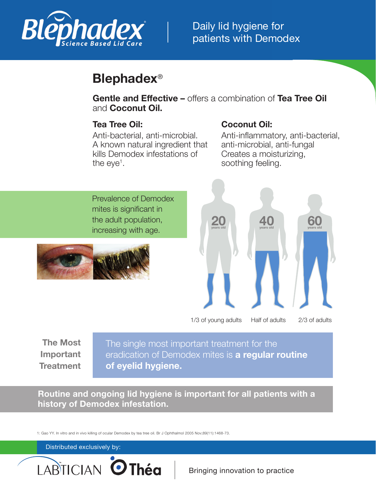

# **Blephadex**®

**Gentle and Effective –** offers a combination of **Tea Tree Oil** and **Coconut Oil.**

### **Tea Tree Oil:**

### **Coconut Oil:**

Anti-bacterial, anti-microbial. A known natural ingredient that kills Demodex infestations of the eye<sup>1</sup>.

Anti-inflammatory, anti-bacterial, anti-microbial, anti-fungal Creates a moisturizing, soothing feeling.

Prevalence of Demodex mites is significant in the adult population, increasing with age.





**The Most Important Treatment**

The single most important treatment for the eradication of Demodex mites is **a regular routine of eyelid hygiene.**

**Routine and ongoing lid hygiene is important for all patients with a history of Demodex infestation.**

1: Gao YY. In vitro and in vivo killing of ocular Demodex by tea tree oil. Br J Ophthalmol 2005 Nov;89(11):1468-73.

#### Distributed exclusively by: